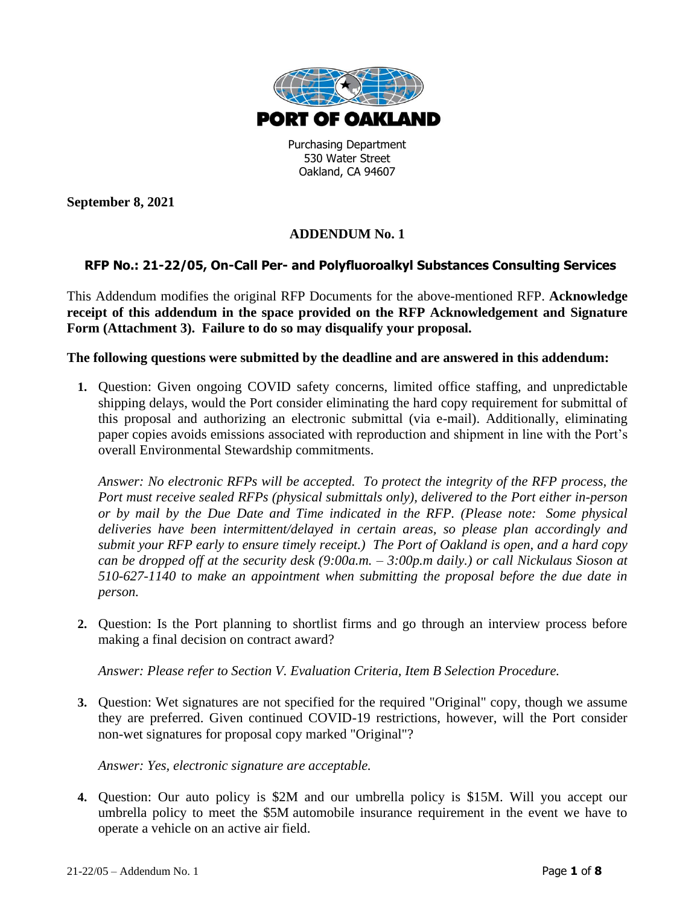

Purchasing Department 530 Water Street Oakland, CA 94607

**September 8, 2021**

# **ADDENDUM No. 1**

## **RFP No.: 21-22/05, On-Call Per- and Polyfluoroalkyl Substances Consulting Services**

This Addendum modifies the original RFP Documents for the above-mentioned RFP. **Acknowledge receipt of this addendum in the space provided on the RFP Acknowledgement and Signature Form (Attachment 3). Failure to do so may disqualify your proposal.**

#### **The following questions were submitted by the deadline and are answered in this addendum:**

**1.** Question: Given ongoing COVID safety concerns, limited office staffing, and unpredictable shipping delays, would the Port consider eliminating the hard copy requirement for submittal of this proposal and authorizing an electronic submittal (via e-mail). Additionally, eliminating paper copies avoids emissions associated with reproduction and shipment in line with the Port's overall Environmental Stewardship commitments.

*Answer: No electronic RFPs will be accepted. To protect the integrity of the RFP process, the Port must receive sealed RFPs (physical submittals only), delivered to the Port either in-person or by mail by the Due Date and Time indicated in the RFP. (Please note: Some physical deliveries have been intermittent/delayed in certain areas, so please plan accordingly and submit your RFP early to ensure timely receipt.) The Port of Oakland is open, and a hard copy can be dropped off at the security desk (9:00a.m. – 3:00p.m daily.) or call Nickulaus Sioson at 510-627-1140 to make an appointment when submitting the proposal before the due date in person.*

**2.** Question: Is the Port planning to shortlist firms and go through an interview process before making a final decision on contract award?

*Answer: Please refer to Section V. Evaluation Criteria, Item B Selection Procedure.*

**3.** Question: Wet signatures are not specified for the required "Original" copy, though we assume they are preferred. Given continued COVID-19 restrictions, however, will the Port consider non-wet signatures for proposal copy marked "Original"?

*Answer: Yes, electronic signature are acceptable.*

**4.** Question: Our auto policy is \$2M and our umbrella policy is \$15M. Will you accept our umbrella policy to meet the \$5M automobile insurance requirement in the event we have to operate a vehicle on an active air field.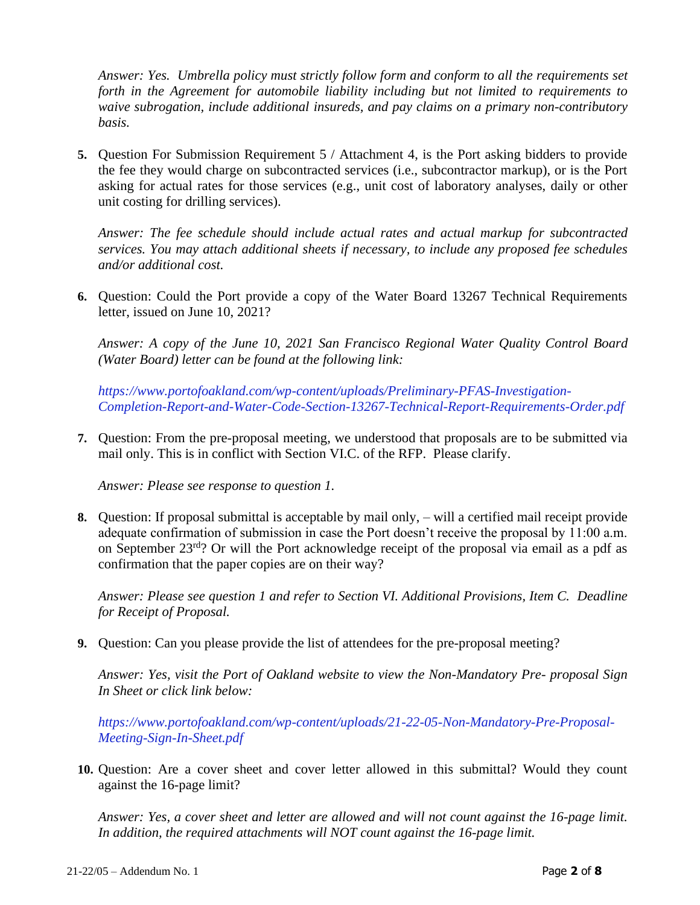*Answer: Yes. Umbrella policy must strictly follow form and conform to all the requirements set forth in the Agreement for automobile liability including but not limited to requirements to waive subrogation, include additional insureds, and pay claims on a primary non-contributory basis.*

**5.** Question For Submission Requirement 5 / Attachment 4, is the Port asking bidders to provide the fee they would charge on subcontracted services (i.e., subcontractor markup), or is the Port asking for actual rates for those services (e.g., unit cost of laboratory analyses, daily or other unit costing for drilling services).

*Answer: The fee schedule should include actual rates and actual markup for subcontracted services. You may attach additional sheets if necessary, to include any proposed fee schedules and/or additional cost.*

**6.** Question: Could the Port provide a copy of the Water Board 13267 Technical Requirements letter, issued on June 10, 2021?

*Answer: A copy of the June 10, 2021 San Francisco Regional Water Quality Control Board (Water Board) letter can be found at the following link:*

*[https://www.portofoakland.com/wp-content/uploads/Preliminary-PFAS-Investigation-](https://www.portofoakland.com/wp-content/uploads/Preliminary-PFAS-Investigation-Completion-Report-and-Water-Code-Section-13267-Technical-Report-Requirements-Order.pdf)[Completion-Report-and-Water-Code-Section-13267-Technical-Report-Requirements-Order.pdf](https://www.portofoakland.com/wp-content/uploads/Preliminary-PFAS-Investigation-Completion-Report-and-Water-Code-Section-13267-Technical-Report-Requirements-Order.pdf)*

**7.** Question: From the pre-proposal meeting, we understood that proposals are to be submitted via mail only. This is in conflict with Section VI.C. of the RFP. Please clarify.

*Answer: Please see response to question 1.*

**8.** Question: If proposal submittal is acceptable by mail only, – will a certified mail receipt provide adequate confirmation of submission in case the Port doesn't receive the proposal by 11:00 a.m. on September 23rd? Or will the Port acknowledge receipt of the proposal via email as a pdf as confirmation that the paper copies are on their way?

*Answer: Please see question 1 and refer to Section VI. Additional Provisions, Item C. Deadline for Receipt of Proposal.*

**9.** Question: Can you please provide the list of attendees for the pre-proposal meeting?

*Answer: Yes, visit the Port of Oakland website to view the Non-Mandatory Pre- proposal Sign In Sheet or click link below:*

*[https://www.portofoakland.com/wp-content/uploads/21-22-05-Non-Mandatory-Pre-Proposal-](https://www.portofoakland.com/wp-content/uploads/21-22-05-Non-Mandatory-Pre-Proposal-Meeting-Sign-In-Sheet.pdf)[Meeting-Sign-In-Sheet.pdf](https://www.portofoakland.com/wp-content/uploads/21-22-05-Non-Mandatory-Pre-Proposal-Meeting-Sign-In-Sheet.pdf)*

**10.** Question: Are a cover sheet and cover letter allowed in this submittal? Would they count against the 16-page limit?

*Answer: Yes, a cover sheet and letter are allowed and will not count against the 16-page limit. In addition, the required attachments will NOT count against the 16-page limit.*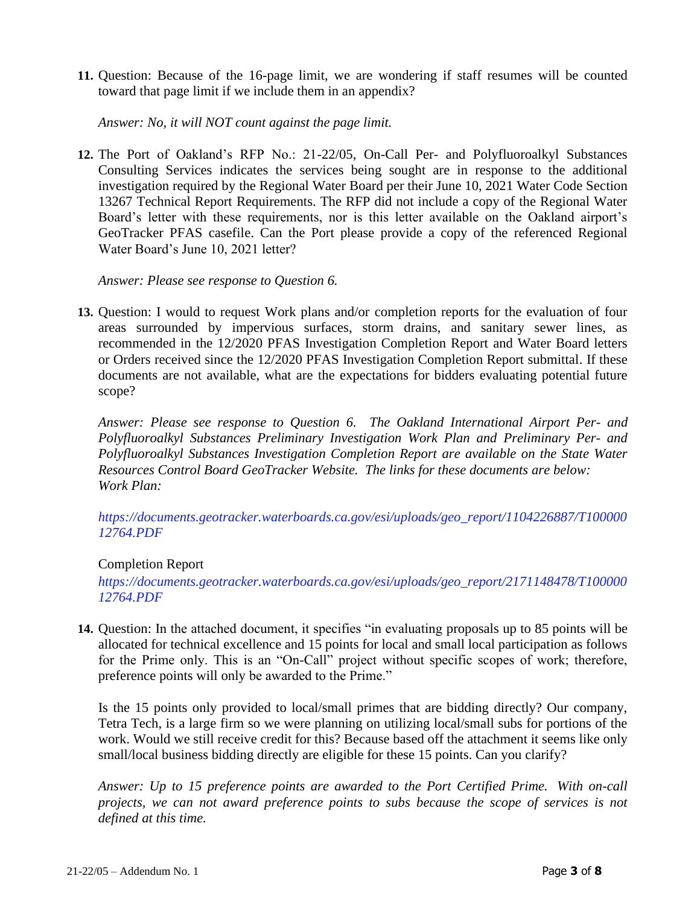**11.** Question: Because of the 16-page limit, we are wondering if staff resumes will be counted toward that page limit if we include them in an appendix?

*Answer: No, it will NOT count against the page limit.*

**12.** The Port of Oakland's RFP No.: 21-22/05, On-Call Per- and Polyfluoroalkyl Substances Consulting Services indicates the services being sought are in response to the additional investigation required by the Regional Water Board per their June 10, 2021 Water Code Section 13267 Technical Report Requirements. The RFP did not include a copy of the Regional Water Board's letter with these requirements, nor is this letter available on the Oakland airport's GeoTracker PFAS casefile. Can the Port please provide a copy of the referenced Regional Water Board's June 10, 2021 letter?

#### *Answer: Please see response to Question 6.*

**13.** Question: I would to request Work plans and/or completion reports for the evaluation of four areas surrounded by impervious surfaces, storm drains, and sanitary sewer lines, as recommended in the 12/2020 PFAS Investigation Completion Report and Water Board letters or Orders received since the 12/2020 PFAS Investigation Completion Report submittal. If these documents are not available, what are the expectations for bidders evaluating potential future scope?

*Answer: Please see response to Question 6. The Oakland International Airport Per- and Polyfluoroalkyl Substances Preliminary Investigation Work Plan and Preliminary Per- and Polyfluoroalkyl Substances Investigation Completion Report are available on the State Water Resources Control Board GeoTracker Website. The links for these documents are below: Work Plan:*

*[https://documents.geotracker.waterboards.ca.gov/esi/uploads/geo\\_report/1104226887/T100000](https://documents.geotracker.waterboards.ca.gov/esi/uploads/geo_report/1104226887/T10000012764.PDF) [12764.PDF](https://documents.geotracker.waterboards.ca.gov/esi/uploads/geo_report/1104226887/T10000012764.PDF)*

### Completion Report

*[https://documents.geotracker.waterboards.ca.gov/esi/uploads/geo\\_report/2171148478/T100000](https://documents.geotracker.waterboards.ca.gov/esi/uploads/geo_report/2171148478/T10000012764.PDF) [12764.PDF](https://documents.geotracker.waterboards.ca.gov/esi/uploads/geo_report/2171148478/T10000012764.PDF)*

**14.** Question: In the attached document, it specifies "in evaluating proposals up to 85 points will be allocated for technical excellence and 15 points for local and small local participation as follows for the Prime only. This is an "On-Call" project without specific scopes of work; therefore, preference points will only be awarded to the Prime."

Is the 15 points only provided to local/small primes that are bidding directly? Our company, Tetra Tech, is a large firm so we were planning on utilizing local/small subs for portions of the work. Would we still receive credit for this? Because based off the attachment it seems like only small/local business bidding directly are eligible for these 15 points. Can you clarify?

*Answer: Up to 15 preference points are awarded to the Port Certified Prime. With on-call projects, we can not award preference points to subs because the scope of services is not defined at this time.*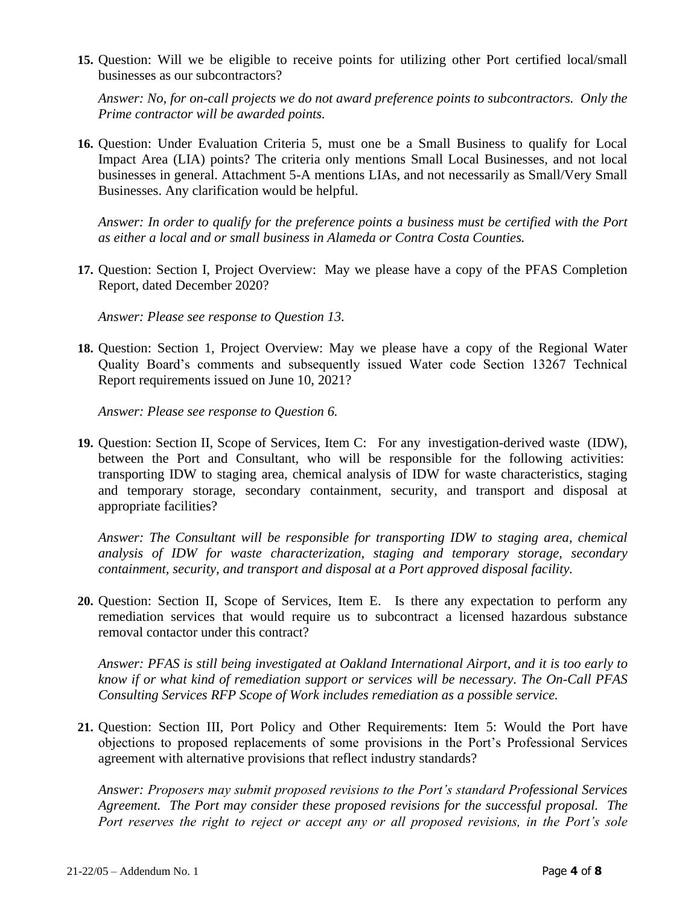**15.** Question: Will we be eligible to receive points for utilizing other Port certified local/small businesses as our subcontractors?

*Answer: No, for on-call projects we do not award preference points to subcontractors. Only the Prime contractor will be awarded points.*

**16.** Question: Under Evaluation Criteria 5, must one be a Small Business to qualify for Local Impact Area (LIA) points? The criteria only mentions Small Local Businesses, and not local businesses in general. Attachment 5-A mentions LIAs, and not necessarily as Small/Very Small Businesses. Any clarification would be helpful.

*Answer: In order to qualify for the preference points a business must be certified with the Port as either a local and or small business in Alameda or Contra Costa Counties.*

**17.** Question: Section I, Project Overview: May we please have a copy of the PFAS Completion Report, dated December 2020?

*Answer: Please see response to Question 13.* 

**18.** Question: Section 1, Project Overview: May we please have a copy of the Regional Water Quality Board's comments and subsequently issued Water code Section 13267 Technical Report requirements issued on June 10, 2021?

*Answer: Please see response to Question 6.* 

**19.** Question: Section II, Scope of Services, Item C: For any investigation-derived waste (IDW), between the Port and Consultant, who will be responsible for the following activities: transporting IDW to staging area, chemical analysis of IDW for waste characteristics, staging and temporary storage, secondary containment, security, and transport and disposal at appropriate facilities?

*Answer: The Consultant will be responsible for transporting IDW to staging area, chemical analysis of IDW for waste characterization, staging and temporary storage, secondary containment, security, and transport and disposal at a Port approved disposal facility.* 

**20.** Question: Section II, Scope of Services, Item E. Is there any expectation to perform any remediation services that would require us to subcontract a licensed hazardous substance removal contactor under this contract?

*Answer: PFAS is still being investigated at Oakland International Airport, and it is too early to know if or what kind of remediation support or services will be necessary. The On-Call PFAS Consulting Services RFP Scope of Work includes remediation as a possible service.*

**21.** Question: Section III, Port Policy and Other Requirements: Item 5: Would the Port have objections to proposed replacements of some provisions in the Port's Professional Services agreement with alternative provisions that reflect industry standards?

*Answer: Proposers may submit proposed revisions to the Port's standard Professional Services Agreement. The Port may consider these proposed revisions for the successful proposal. The Port reserves the right to reject or accept any or all proposed revisions, in the Port's sole*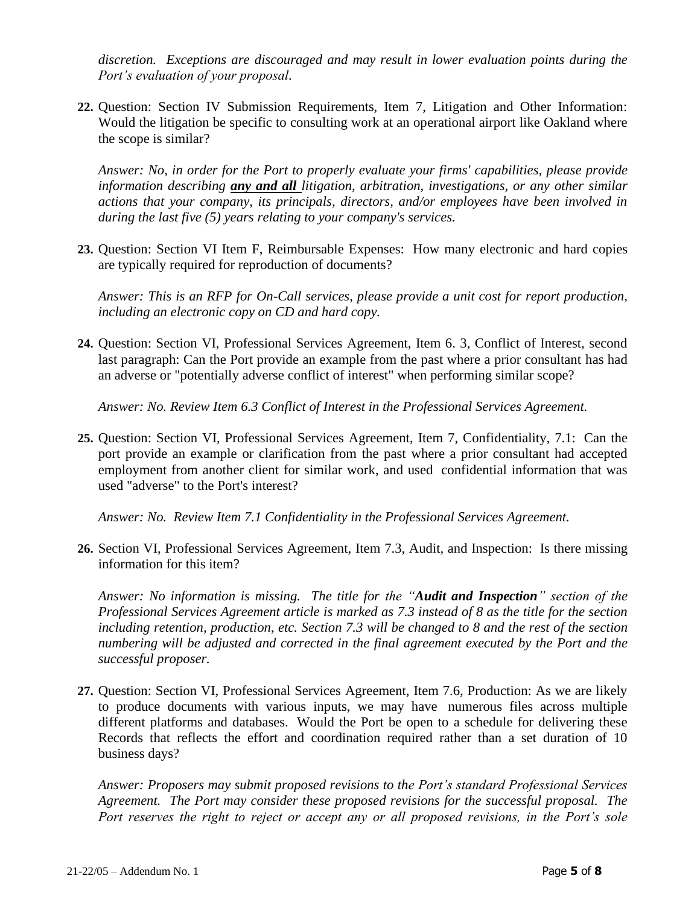*discretion. Exceptions are discouraged and may result in lower evaluation points during the Port's evaluation of your proposal.*

**22.** Question: Section IV Submission Requirements, Item 7, Litigation and Other Information: Would the litigation be specific to consulting work at an operational airport like Oakland where the scope is similar?

*Answer: No, in order for the Port to properly evaluate your firms' capabilities, please provide information describing any and all litigation, arbitration, investigations, or any other similar actions that your company, its principals, directors, and/or employees have been involved in during the last five (5) years relating to your company's services.*

**23.** Question: Section VI Item F, Reimbursable Expenses: How many electronic and hard copies are typically required for reproduction of documents?

*Answer: This is an RFP for On-Call services, please provide a unit cost for report production, including an electronic copy on CD and hard copy.* 

**24.** Question: Section VI, Professional Services Agreement, Item 6. 3, Conflict of Interest, second last paragraph: Can the Port provide an example from the past where a prior consultant has had an adverse or "potentially adverse conflict of interest" when performing similar scope?

*Answer: No. Review Item 6.3 Conflict of Interest in the Professional Services Agreement.*

**25.** Question: Section VI, Professional Services Agreement, Item 7, Confidentiality, 7.1: Can the port provide an example or clarification from the past where a prior consultant had accepted employment from another client for similar work, and used confidential information that was used "adverse" to the Port's interest?

*Answer: No. Review Item 7.1 Confidentiality in the Professional Services Agreement.*

**26.** Section VI, Professional Services Agreement, Item 7.3, Audit, and Inspection: Is there missing information for this item?

*Answer: No information is missing. The title for the "Audit and Inspection" section of the Professional Services Agreement article is marked as 7.3 instead of 8 as the title for the section including retention, production, etc. Section 7.3 will be changed to 8 and the rest of the section numbering will be adjusted and corrected in the final agreement executed by the Port and the successful proposer.* 

**27.** Question: Section VI, Professional Services Agreement, Item 7.6, Production: As we are likely to produce documents with various inputs, we may have numerous files across multiple different platforms and databases. Would the Port be open to a schedule for delivering these Records that reflects the effort and coordination required rather than a set duration of 10 business days?

*Answer: Proposers may submit proposed revisions to the Port's standard Professional Services Agreement. The Port may consider these proposed revisions for the successful proposal. The Port reserves the right to reject or accept any or all proposed revisions, in the Port's sole*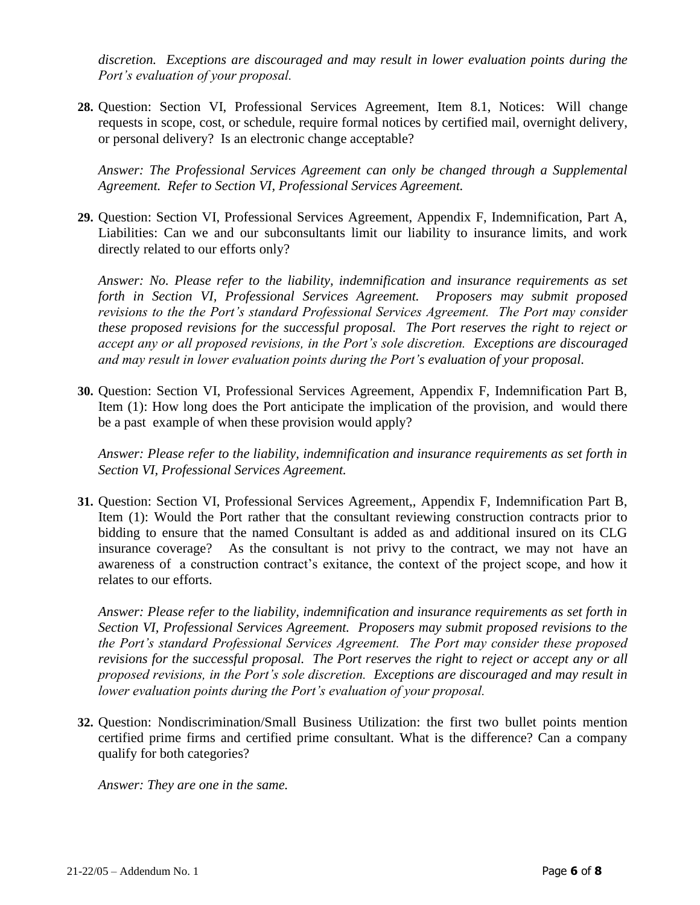*discretion. Exceptions are discouraged and may result in lower evaluation points during the Port's evaluation of your proposal.*

**28.** Question: Section VI, Professional Services Agreement, Item 8.1, Notices: Will change requests in scope, cost, or schedule, require formal notices by certified mail, overnight delivery, or personal delivery? Is an electronic change acceptable?

*Answer: The Professional Services Agreement can only be changed through a Supplemental Agreement. Refer to Section VI, Professional Services Agreement.* 

**29.** Question: Section VI, Professional Services Agreement, Appendix F, Indemnification, Part A, Liabilities: Can we and our subconsultants limit our liability to insurance limits, and work directly related to our efforts only?

*Answer: No. Please refer to the liability, indemnification and insurance requirements as set forth in Section VI, Professional Services Agreement. Proposers may submit proposed revisions to the the Port's standard Professional Services Agreement. The Port may consider these proposed revisions for the successful proposal. The Port reserves the right to reject or accept any or all proposed revisions, in the Port's sole discretion. Exceptions are discouraged and may result in lower evaluation points during the Port's evaluation of your proposal.*

**30.** Question: Section VI, Professional Services Agreement, Appendix F, Indemnification Part B, Item (1): How long does the Port anticipate the implication of the provision, and would there be a past example of when these provision would apply?

*Answer: Please refer to the liability, indemnification and insurance requirements as set forth in Section VI, Professional Services Agreement.* 

**31.** Question: Section VI, Professional Services Agreement,, Appendix F, Indemnification Part B, Item (1): Would the Port rather that the consultant reviewing construction contracts prior to bidding to ensure that the named Consultant is added as and additional insured on its CLG insurance coverage? As the consultant is not privy to the contract, we may not have an awareness of a construction contract's exitance, the context of the project scope, and how it relates to our efforts.

*Answer: Please refer to the liability, indemnification and insurance requirements as set forth in Section VI, Professional Services Agreement. Proposers may submit proposed revisions to the the Port's standard Professional Services Agreement. The Port may consider these proposed revisions for the successful proposal. The Port reserves the right to reject or accept any or all proposed revisions, in the Port's sole discretion. Exceptions are discouraged and may result in lower evaluation points during the Port's evaluation of your proposal.*

**32.** Question: Nondiscrimination/Small Business Utilization: the first two bullet points mention certified prime firms and certified prime consultant. What is the difference? Can a company qualify for both categories?

*Answer: They are one in the same.*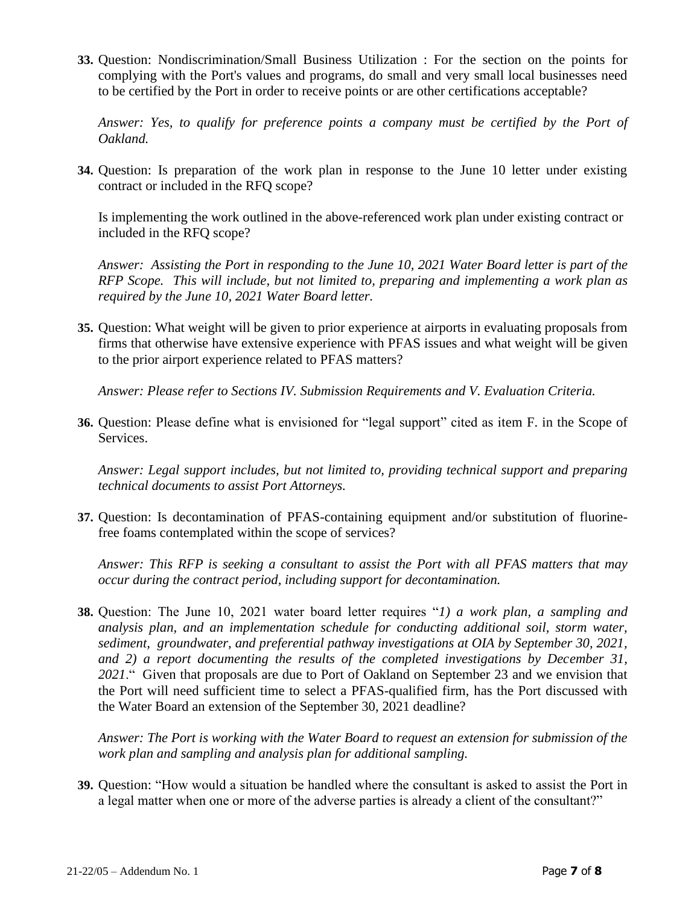**33.** Question: Nondiscrimination/Small Business Utilization : For the section on the points for complying with the Port's values and programs, do small and very small local businesses need to be certified by the Port in order to receive points or are other certifications acceptable?

*Answer: Yes, to qualify for preference points a company must be certified by the Port of Oakland.*

**34.** Question: Is preparation of the work plan in response to the June 10 letter under existing contract or included in the RFQ scope?

Is implementing the work outlined in the above-referenced work plan under existing contract or included in the RFQ scope?

*Answer: Assisting the Port in responding to the June 10, 2021 Water Board letter is part of the RFP Scope. This will include, but not limited to, preparing and implementing a work plan as required by the June 10, 2021 Water Board letter.* 

**35.** Question: What weight will be given to prior experience at airports in evaluating proposals from firms that otherwise have extensive experience with PFAS issues and what weight will be given to the prior airport experience related to PFAS matters?

*Answer: Please refer to Sections IV. Submission Requirements and V. Evaluation Criteria.* 

**36.** Question: Please define what is envisioned for "legal support" cited as item F. in the Scope of Services.

*Answer: Legal support includes, but not limited to, providing technical support and preparing technical documents to assist Port Attorneys.* 

**37.** Question: Is decontamination of PFAS-containing equipment and/or substitution of fluorinefree foams contemplated within the scope of services?

*Answer: This RFP is seeking a consultant to assist the Port with all PFAS matters that may occur during the contract period, including support for decontamination.* 

**38.** Question: The June 10, 2021 water board letter requires "*1) a work plan, a sampling and analysis plan, and an implementation schedule for conducting additional soil, storm water, sediment, groundwater, and preferential pathway investigations at OIA by September 30, 2021, and 2) a report documenting the results of the completed investigations by December 31, 2021*." Given that proposals are due to Port of Oakland on September 23 and we envision that the Port will need sufficient time to select a PFAS-qualified firm, has the Port discussed with the Water Board an extension of the September 30, 2021 deadline?

*Answer: The Port is working with the Water Board to request an extension for submission of the work plan and sampling and analysis plan for additional sampling.* 

**39.** Question: "How would a situation be handled where the consultant is asked to assist the Port in a legal matter when one or more of the adverse parties is already a client of the consultant?"